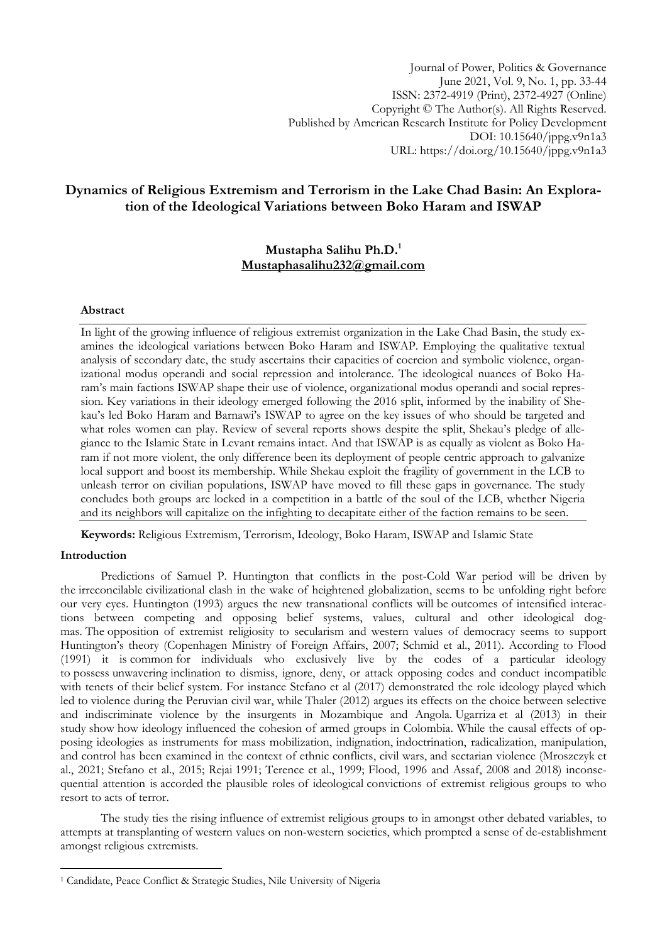Journal of Power, Politics & Governance June 2021, Vol. 9, No. 1, pp. 33-44 ISSN: 2372-4919 (Print), 2372-4927 (Online) Copyright © The Author(s). All Rights Reserved. Published by American Research Institute for Policy Development DOI: 10.15640/jppg.v9n1a3 URL: https://doi.org/10.15640/jppg.v9n1a3

# **Dynamics of Religious Extremism and Terrorism in the Lake Chad Basin: An Exploration of the Ideological Variations between Boko Haram and ISWAP**

# **Mustapha Salihu Ph.D.<sup>1</sup> [Mustaphasalihu232@gmail.com](mailto:Mustaphasalihu232@gmail.com)**

## **Abstract**

In light of the growing influence of religious extremist organization in the Lake Chad Basin, the study examines the ideological variations between Boko Haram and ISWAP. Employing the qualitative textual analysis of secondary date, the study ascertains their capacities of coercion and symbolic violence, organizational modus operandi and social repression and intolerance. The ideological nuances of Boko Haram's main factions ISWAP shape their use of violence, organizational modus operandi and social repression. Key variations in their ideology emerged following the 2016 split, informed by the inability of Shekau's led Boko Haram and Barnawi's ISWAP to agree on the key issues of who should be targeted and what roles women can play. Review of several reports shows despite the split, Shekau's pledge of allegiance to the Islamic State in Levant remains intact. And that ISWAP is as equally as violent as Boko Haram if not more violent, the only difference been its deployment of people centric approach to galvanize local support and boost its membership. While Shekau exploit the fragility of government in the LCB to unleash terror on civilian populations, ISWAP have moved to fill these gaps in governance. The study concludes both groups are locked in a competition in a battle of the soul of the LCB, whether Nigeria and its neighbors will capitalize on the infighting to decapitate either of the faction remains to be seen.

**Keywords:** Religious Extremism, Terrorism, Ideology, Boko Haram, ISWAP and Islamic State

#### **Introduction**

1

Predictions of Samuel P. Huntington that conflicts in the post-Cold War period will be driven by the irreconcilable civilizational clash in the wake of heightened globalization, seems to be unfolding right before our very eyes. Huntington (1993) argues the new transnational conflicts will be outcomes of intensified interactions between competing and opposing belief systems, values, cultural and other ideological dogmas. The opposition of extremist religiosity to secularism and western values of democracy seems to support Huntington's theory (Copenhagen Ministry of Foreign Affairs, 2007; Schmid et al., 2011). According to Flood (1991) it is common for individuals who exclusively live by the codes of a particular ideology to possess unwavering inclination to dismiss, ignore, deny, or attack opposing codes and conduct incompatible with tenets of their belief system. For instance Stefano et al (2017) demonstrated the role ideology played which led to violence during the Peruvian civil war, while Thaler (2012) argues its effects on the choice between selective and indiscriminate violence by the insurgents in Mozambique and Angola. Ugarriza et al (2013) in their study show how ideology influenced the cohesion of armed groups in Colombia. While the causal effects of opposing ideologies as instruments for mass mobilization, indignation, indoctrination, radicalization, manipulation, and control has been examined in the context of ethnic conflicts, civil wars, and sectarian violence (Mroszczyk et al., 2021; Stefano et al., 2015; Rejai 1991; Terence et al., 1999; Flood, 1996 and Assaf, 2008 and 2018) inconsequential attention is accorded the plausible roles of ideological convictions of extremist religious groups to who resort to acts of terror.

The study ties the rising influence of extremist religious groups to in amongst other debated variables, to attempts at transplanting of western values on non-western societies, which prompted a sense of de-establishment amongst religious extremists.

<sup>1</sup> Candidate, Peace Conflict & Strategic Studies, Nile University of Nigeria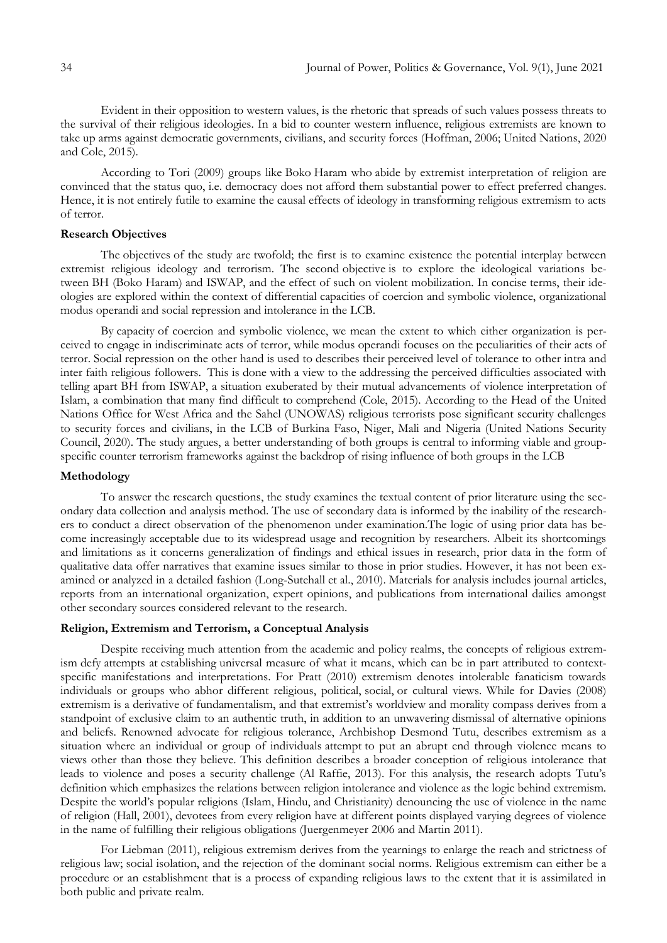Evident in their opposition to western values, is the rhetoric that spreads of such values possess threats to the survival of their religious ideologies. In a bid to counter western influence, religious extremists are known to take up arms against democratic governments, civilians, and security forces (Hoffman, 2006; United Nations, 2020 and Cole, 2015).

According to Tori (2009) groups like Boko Haram who abide by extremist interpretation of religion are convinced that the status quo, i.e. democracy does not afford them substantial power to effect preferred changes. Hence, it is not entirely futile to examine the causal effects of ideology in transforming religious extremism to acts of terror.

# **Research Objectives**

The objectives of the study are twofold; the first is to examine existence the potential interplay between extremist religious ideology and terrorism. The second objective is to explore the ideological variations between BH (Boko Haram) and ISWAP, and the effect of such on violent mobilization. In concise terms, their ideologies are explored within the context of differential capacities of coercion and symbolic violence, organizational modus operandi and social repression and intolerance in the LCB.

By capacity of coercion and symbolic violence, we mean the extent to which either organization is perceived to engage in indiscriminate acts of terror, while modus operandi focuses on the peculiarities of their acts of terror. Social repression on the other hand is used to describes their perceived level of tolerance to other intra and inter faith religious followers. This is done with a view to the addressing the perceived difficulties associated with telling apart BH from ISWAP, a situation exuberated by their mutual advancements of violence interpretation of Islam, a combination that many find difficult to comprehend (Cole, 2015). According to the Head of the United Nations Office for West Africa and the Sahel (UNOWAS) religious terrorists pose significant security challenges to security forces and civilians, in the LCB of Burkina Faso, Niger, Mali and Nigeria (United Nations Security Council, 2020). The study argues, a better understanding of both groups is central to informing viable and groupspecific counter terrorism frameworks against the backdrop of rising influence of both groups in the LCB

### **Methodology**

To answer the research questions, the study examines the textual content of prior literature using the secondary data collection and analysis method. The use of secondary data is informed by the inability of the researchers to conduct a direct observation of the phenomenon under examination.The logic of using prior data has become increasingly acceptable due to its widespread usage and recognition by researchers. Albeit its shortcomings and limitations as it concerns generalization of findings and ethical issues in research, prior data in the form of qualitative data offer narratives that examine issues similar to those in prior studies. However, it has not been examined or analyzed in a detailed fashion (Long-Sutehall et al., 2010). Materials for analysis includes journal articles, reports from an international organization, expert opinions, and publications from international dailies amongst other secondary sources considered relevant to the research.

### **Religion, Extremism and Terrorism, a Conceptual Analysis**

Despite receiving much attention from the academic and policy realms, the concepts of religious extremism defy attempts at establishing universal measure of what it means, which can be in part attributed to contextspecific manifestations and interpretations. For Pratt (2010) extremism denotes intolerable fanaticism towards individuals or groups who abhor different religious, political, social, or cultural views. While for Davies (2008) extremism is a derivative of fundamentalism, and that extremist's worldview and morality compass derives from a standpoint of exclusive claim to an authentic truth, in addition to an unwavering dismissal of alternative opinions and beliefs. Renowned advocate for religious tolerance, Archbishop Desmond Tutu, describes extremism as a situation where an individual or group of individuals attempt to put an abrupt end through violence means to views other than those they believe. This definition describes a broader conception of religious intolerance that leads to violence and poses a security challenge (Al Raffie, 2013). For this analysis, the research adopts Tutu's definition which emphasizes the relations between religion intolerance and violence as the logic behind extremism. Despite the world's popular religions (Islam, Hindu, and Christianity) denouncing the use of violence in the name of religion (Hall, 2001), devotees from every religion have at different points displayed varying degrees of violence in the name of fulfilling their religious obligations (Juergenmeyer 2006 and Martin 2011).

For Liebman (2011), religious extremism derives from the yearnings to enlarge the reach and strictness of religious law; social isolation, and the rejection of the dominant social norms. Religious extremism can either be a procedure or an establishment that is a process of expanding religious laws to the extent that it is assimilated in both public and private realm.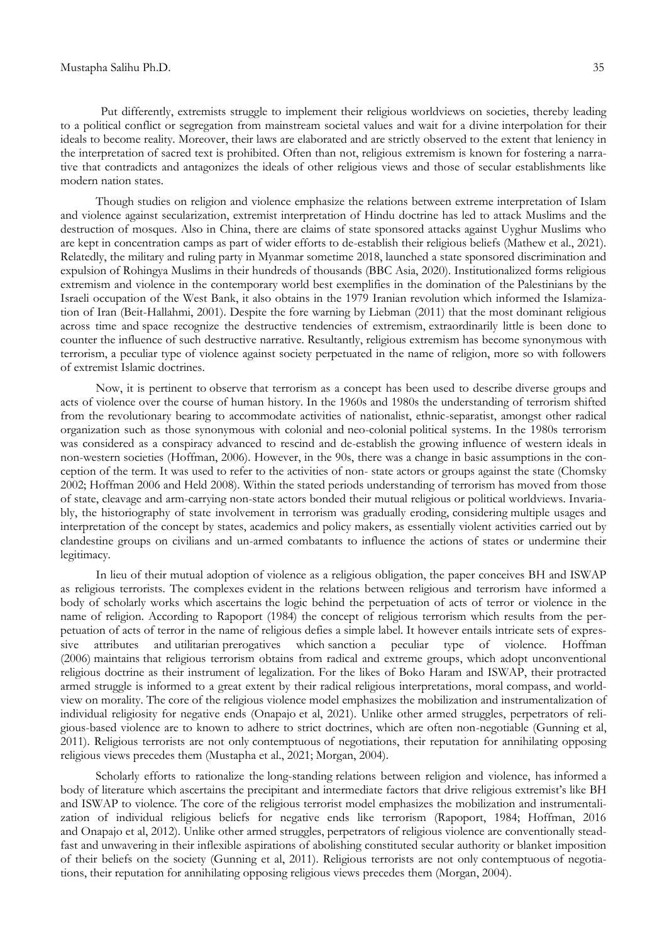Put differently, extremists struggle to implement their religious worldviews on societies, thereby leading to a political conflict or segregation from mainstream societal values and wait for a divine interpolation for their ideals to become reality. Moreover, their laws are elaborated and are strictly observed to the extent that leniency in the interpretation of sacred text is prohibited. Often than not, religious extremism is known for fostering a narrative that contradicts and antagonizes the ideals of other religious views and those of secular establishments like modern nation states.

Though studies on religion and violence emphasize the relations between extreme interpretation of Islam and violence against secularization, extremist interpretation of Hindu doctrine has led to attack Muslims and the destruction of mosques. Also in China, there are claims of state sponsored attacks against Uyghur Muslims who are kept in concentration camps as part of wider efforts to de-establish their religious beliefs (Mathew et al., 2021). Relatedly, the military and ruling party in Myanmar sometime 2018, launched a state sponsored discrimination and expulsion of Rohingya Muslims in their hundreds of thousands (BBC Asia, 2020). Institutionalized forms religious extremism and violence in the contemporary world best exemplifies in the domination of the Palestinians by the Israeli occupation of the West Bank, it also obtains in the 1979 Iranian revolution which informed the Islamization of Iran (Beit-Hallahmi, 2001). Despite the fore warning by Liebman (2011) that the most dominant religious across time and space recognize the destructive tendencies of extremism, extraordinarily little is been done to counter the influence of such destructive narrative. Resultantly, religious extremism has become synonymous with terrorism, a peculiar type of violence against society perpetuated in the name of religion, more so with followers of extremist Islamic doctrines.

Now, it is pertinent to observe that terrorism as a concept has been used to describe diverse groups and acts of violence over the course of human history. In the 1960s and 1980s the understanding of terrorism shifted from the revolutionary bearing to accommodate activities of nationalist, ethnic-separatist, amongst other radical organization such as those synonymous with colonial and neo-colonial political systems. In the 1980s terrorism was considered as a conspiracy advanced to rescind and de-establish the growing influence of western ideals in non-western societies (Hoffman, 2006). However, in the 90s, there was a change in basic assumptions in the conception of the term. It was used to refer to the activities of non- state actors or groups against the state (Chomsky 2002; Hoffman 2006 and Held 2008). Within the stated periods understanding of terrorism has moved from those of state, cleavage and arm-carrying non-state actors bonded their mutual religious or political worldviews. Invariably, the historiography of state involvement in terrorism was gradually eroding, considering multiple usages and interpretation of the concept by states, academics and policy makers, as essentially violent activities carried out by clandestine groups on civilians and un-armed combatants to influence the actions of states or undermine their legitimacy.

In lieu of their mutual adoption of violence as a religious obligation, the paper conceives BH and ISWAP as religious terrorists. The complexes evident in the relations between religious and terrorism have informed a body of scholarly works which ascertains the logic behind the perpetuation of acts of terror or violence in the name of religion. According to Rapoport (1984) the concept of religious terrorism which results from the perpetuation of acts of terror in the name of religious defies a simple label. It however entails intricate sets of expressive attributes and utilitarian prerogatives which sanction a peculiar type of violence. Hoffman (2006) maintains that religious terrorism obtains from radical and extreme groups, which adopt unconventional religious doctrine as their instrument of legalization. For the likes of Boko Haram and ISWAP, their protracted armed struggle is informed to a great extent by their radical religious interpretations, moral compass, and worldview on morality. The core of the religious violence model emphasizes the mobilization and instrumentalization of individual religiosity for negative ends (Onapajo et al, 2021). Unlike other armed struggles, perpetrators of religious-based violence are to known to adhere to strict doctrines, which are often non-negotiable (Gunning et al, 2011). Religious terrorists are not only contemptuous of negotiations, their reputation for annihilating opposing religious views precedes them (Mustapha et al., 2021; Morgan, 2004).

Scholarly efforts to rationalize the long-standing relations between religion and violence, has informed a body of literature which ascertains the precipitant and intermediate factors that drive religious extremist's like BH and ISWAP to violence. The core of the religious terrorist model emphasizes the mobilization and instrumentalization of individual religious beliefs for negative ends like terrorism (Rapoport, 1984; Hoffman, 2016 and Onapajo et al, 2012). Unlike other armed struggles, perpetrators of religious violence are conventionally steadfast and unwavering in their inflexible aspirations of abolishing constituted secular authority or blanket imposition of their beliefs on the society (Gunning et al, 2011). Religious terrorists are not only contemptuous of negotiations, their reputation for annihilating opposing religious views precedes them (Morgan, 2004).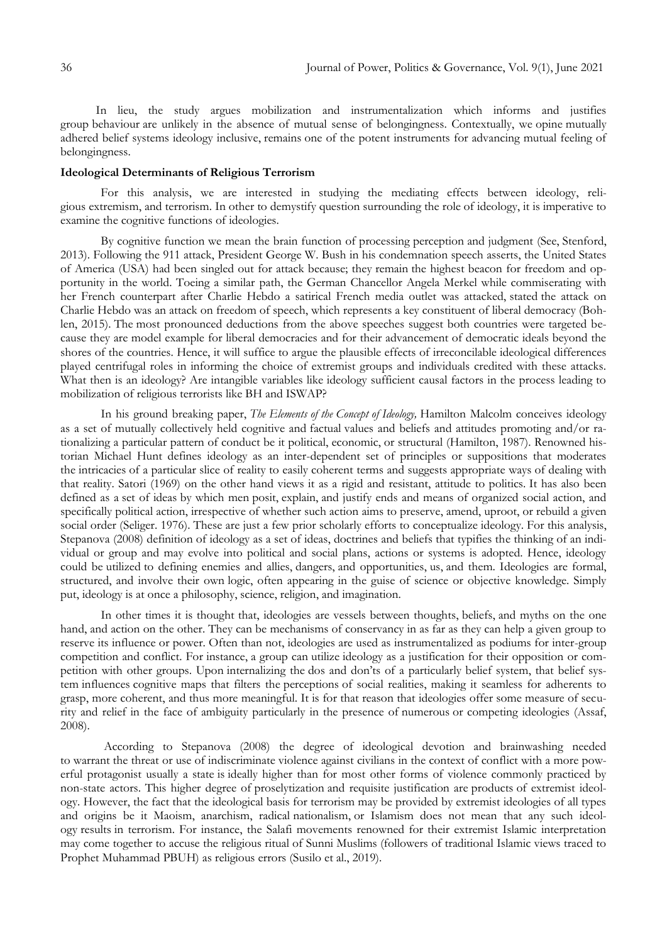In lieu, the study argues mobilization and instrumentalization which informs and justifies group behaviour are unlikely in the absence of mutual sense of belongingness. Contextually, we opine mutually adhered belief systems ideology inclusive, remains one of the potent instruments for advancing mutual feeling of belongingness.

## **Ideological Determinants of Religious Terrorism**

For this analysis, we are interested in studying the mediating effects between ideology, religious extremism, and terrorism. In other to demystify question surrounding the role of ideology, it is imperative to examine the cognitive functions of ideologies.

By cognitive function we mean the brain function of processing perception and judgment (See, Stenford, 2013). Following the 911 attack, President George W. Bush in his condemnation speech asserts, the United States of America (USA) had been singled out for attack because; they remain the highest beacon for freedom and opportunity in the world. Toeing a similar path, the German Chancellor Angela Merkel while commiserating with her French counterpart after Charlie Hebdo a satirical French media outlet was attacked, stated the attack on Charlie Hebdo was an attack on freedom of speech, which represents a key constituent of liberal democracy (Bohlen, 2015). The most pronounced deductions from the above speeches suggest both countries were targeted because they are model example for liberal democracies and for their advancement of democratic ideals beyond the shores of the countries. Hence, it will suffice to argue the plausible effects of irreconcilable ideological differences played centrifugal roles in informing the choice of extremist groups and individuals credited with these attacks. What then is an ideology? Are intangible variables like ideology sufficient causal factors in the process leading to mobilization of religious terrorists like BH and ISWAP?

In his ground breaking paper, *The Elements of the Concept of Ideology,* Hamilton Malcolm conceives ideology as a set of mutually collectively held cognitive and factual values and beliefs and attitudes promoting and/or rationalizing a particular pattern of conduct be it political, economic, or structural (Hamilton, 1987). Renowned historian Michael Hunt defines ideology as an inter-dependent set of principles or suppositions that moderates the intricacies of a particular slice of reality to easily coherent terms and suggests appropriate ways of dealing with that reality. Satori (1969) on the other hand views it as a rigid and resistant, attitude to politics. It has also been defined as a set of ideas by which men posit, explain, and justify ends and means of organized social action, and specifically political action, irrespective of whether such action aims to preserve, amend, uproot, or rebuild a given social order (Seliger. 1976). These are just a few prior scholarly efforts to conceptualize ideology. For this analysis, Stepanova (2008) definition of ideology as a set of ideas, doctrines and beliefs that typifies the thinking of an individual or group and may evolve into political and social plans, actions or systems is adopted. Hence, ideology could be utilized to defining enemies and allies, dangers, and opportunities, us, and them. Ideologies are formal, structured, and involve their own logic, often appearing in the guise of science or objective knowledge. Simply put, ideology is at once a philosophy, science, religion, and imagination.

In other times it is thought that, ideologies are vessels between thoughts, beliefs, and myths on the one hand, and action on the other. They can be mechanisms of conservancy in as far as they can help a given group to reserve its influence or power. Often than not, ideologies are used as instrumentalized as podiums for inter-group competition and conflict. For instance, a group can utilize ideology as a justification for their opposition or competition with other groups. Upon internalizing the dos and don'ts of a particularly belief system, that belief system influences cognitive maps that filters the perceptions of social realities, making it seamless for adherents to grasp, more coherent, and thus more meaningful. It is for that reason that ideologies offer some measure of security and relief in the face of ambiguity particularly in the presence of numerous or competing ideologies (Assaf, 2008).

According to Stepanova (2008) the degree of ideological devotion and brainwashing needed to warrant the threat or use of indiscriminate violence against civilians in the context of conflict with a more powerful protagonist usually a state is ideally higher than for most other forms of violence commonly practiced by non-state actors. This higher degree of proselytization and requisite justification are products of extremist ideology. However, the fact that the ideological basis for terrorism may be provided by extremist ideologies of all types and origins be it Maoism, anarchism, radical nationalism, or Islamism does not mean that any such ideology results in terrorism. For instance, the Salafi movements renowned for their extremist Islamic interpretation may come together to accuse the religious ritual of Sunni Muslims (followers of traditional Islamic views traced to Prophet Muhammad PBUH) as religious errors (Susilo et al., 2019).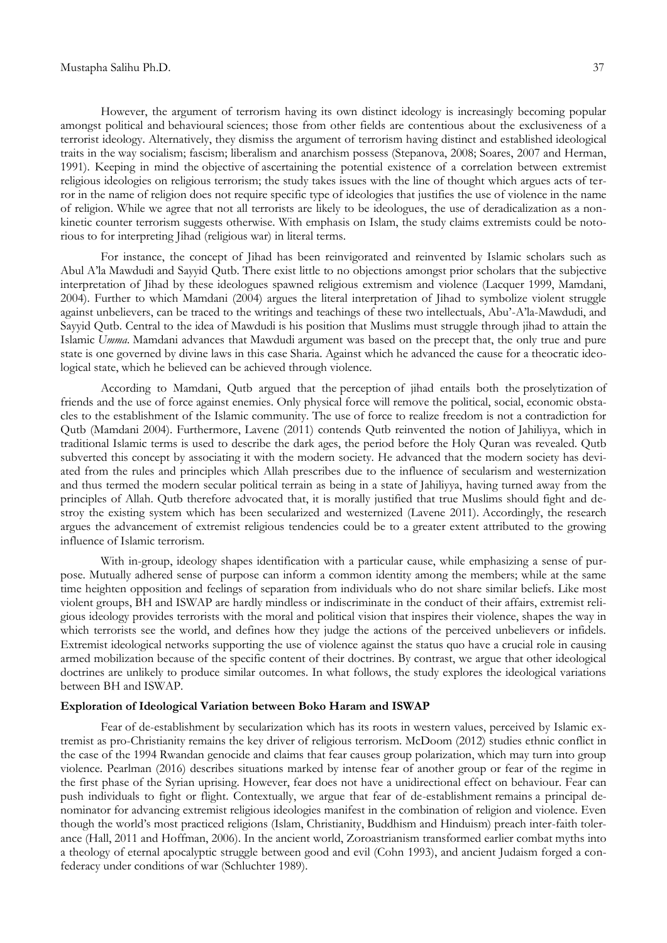However, the argument of terrorism having its own distinct ideology is increasingly becoming popular amongst political and behavioural sciences; those from other fields are contentious about the exclusiveness of a terrorist ideology. Alternatively, they dismiss the argument of terrorism having distinct and established ideological traits in the way socialism; fascism; liberalism and anarchism possess (Stepanova, 2008; Soares, 2007 and Herman, 1991). Keeping in mind the objective of ascertaining the potential existence of a correlation between extremist religious ideologies on religious terrorism; the study takes issues with the line of thought which argues acts of terror in the name of religion does not require specific type of ideologies that justifies the use of violence in the name of religion. While we agree that not all terrorists are likely to be ideologues, the use of deradicalization as a nonkinetic counter terrorism suggests otherwise. With emphasis on Islam, the study claims extremists could be notorious to for interpreting Jihad (religious war) in literal terms.

For instance, the concept of Jihad has been reinvigorated and reinvented by Islamic scholars such as Abul A'la Mawdudi and Sayyid Qutb. There exist little to no objections amongst prior scholars that the subjective interpretation of Jihad by these ideologues spawned religious extremism and violence (Lacquer 1999, Mamdani, 2004). Further to which Mamdani (2004) argues the literal interpretation of Jihad to symbolize violent struggle against unbelievers, can be traced to the writings and teachings of these two intellectuals, Abu'-A'la-Mawdudi, and Sayyid Qutb. Central to the idea of Mawdudi is his position that Muslims must struggle through jihad to attain the Islamic *Umma*. Mamdani advances that Mawdudi argument was based on the precept that, the only true and pure state is one governed by divine laws in this case Sharia. Against which he advanced the cause for a theocratic ideological state, which he believed can be achieved through violence.

According to Mamdani, Qutb argued that the perception of jihad entails both the proselytization of friends and the use of force against enemies. Only physical force will remove the political, social, economic obstacles to the establishment of the Islamic community. The use of force to realize freedom is not a contradiction for Qutb (Mamdani 2004). Furthermore, Lavene (2011) contends Qutb reinvented the notion of Jahiliyya, which in traditional Islamic terms is used to describe the dark ages, the period before the Holy Quran was revealed. Qutb subverted this concept by associating it with the modern society. He advanced that the modern society has deviated from the rules and principles which Allah prescribes due to the influence of secularism and westernization and thus termed the modern secular political terrain as being in a state of Jahiliyya, having turned away from the principles of Allah. Qutb therefore advocated that, it is morally justified that true Muslims should fight and destroy the existing system which has been secularized and westernized (Lavene 2011). Accordingly, the research argues the advancement of extremist religious tendencies could be to a greater extent attributed to the growing influence of Islamic terrorism.

With in-group, ideology shapes identification with a particular cause, while emphasizing a sense of purpose. Mutually adhered sense of purpose can inform a common identity among the members; while at the same time heighten opposition and feelings of separation from individuals who do not share similar beliefs. Like most violent groups, BH and ISWAP are hardly mindless or indiscriminate in the conduct of their affairs, extremist religious ideology provides terrorists with the moral and political vision that inspires their violence, shapes the way in which terrorists see the world, and defines how they judge the actions of the perceived unbelievers or infidels. Extremist ideological networks supporting the use of violence against the status quo have a crucial role in causing armed mobilization because of the specific content of their doctrines. By contrast, we argue that other ideological doctrines are unlikely to produce similar outcomes. In what follows, the study explores the ideological variations between BH and ISWAP.

# **Exploration of Ideological Variation between Boko Haram and ISWAP**

Fear of de-establishment by secularization which has its roots in western values, perceived by Islamic extremist as pro-Christianity remains the key driver of religious terrorism. McDoom (2012) studies ethnic conflict in the case of the 1994 Rwandan genocide and claims that fear causes group polarization, which may turn into group violence. Pearlman (2016) describes situations marked by intense fear of another group or fear of the regime in the first phase of the Syrian uprising. However, fear does not have a unidirectional effect on behaviour. Fear can push individuals to fight or flight. Contextually, we argue that fear of de-establishment remains a principal denominator for advancing extremist religious ideologies manifest in the combination of religion and violence. Even though the world's most practiced religions (Islam, Christianity, Buddhism and Hinduism) preach inter-faith tolerance (Hall, 2011 and Hoffman, 2006). In the ancient world, Zoroastrianism transformed earlier combat myths into a theology of eternal apocalyptic struggle between good and evil (Cohn 1993), and ancient Judaism forged a confederacy under conditions of war (Schluchter 1989).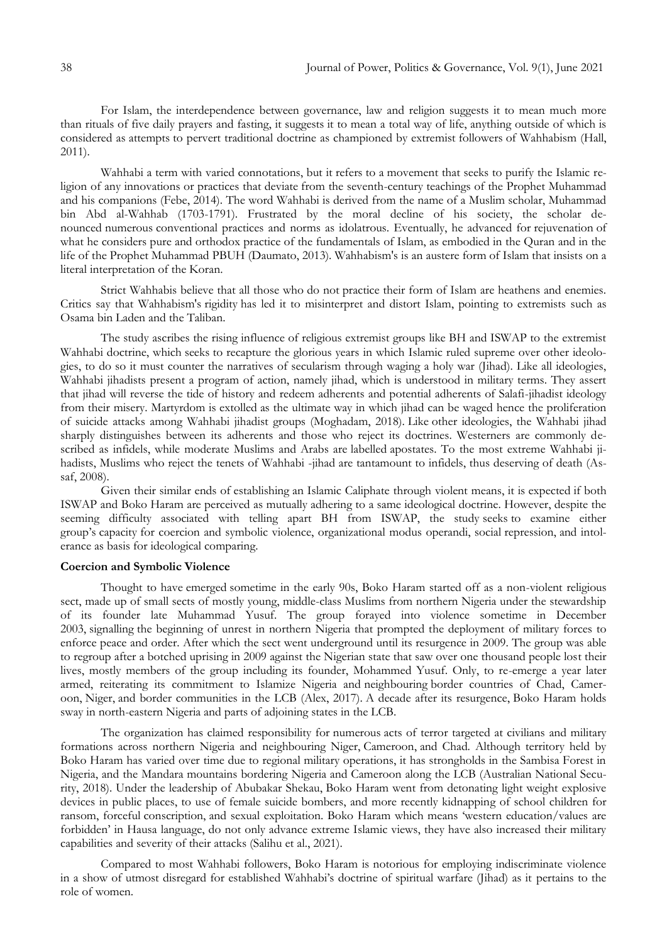For Islam, the interdependence between governance, law and religion suggests it to mean much more than rituals of five daily prayers and fasting, it suggests it to mean a total way of life, anything outside of which is considered as attempts to pervert traditional doctrine as championed by extremist followers of Wahhabism (Hall, 2011).

Wahhabi a term with varied connotations, but it refers to a movement that seeks to purify the Islamic religion of any innovations or practices that deviate from the seventh-century teachings of the Prophet Muhammad and his companions (Febe, 2014). The word Wahhabi is derived from the name of a Muslim scholar, Muhammad bin Abd al-Wahhab (1703-1791). Frustrated by the moral decline of his society, the scholar denounced numerous conventional practices and norms as idolatrous. Eventually, he advanced for rejuvenation of what he considers pure and orthodox practice of the fundamentals of Islam, as embodied in the Quran and in the life of the Prophet Muhammad PBUH (Daumato, 2013). Wahhabism's is an austere form of Islam that insists on a literal interpretation of the Koran.

Strict Wahhabis believe that all those who do not practice their form of Islam are heathens and enemies. Critics say that Wahhabism's rigidity has led it to misinterpret and distort Islam, pointing to extremists such as Osama bin Laden and the Taliban.

The study ascribes the rising influence of religious extremist groups like BH and ISWAP to the extremist Wahhabi doctrine, which seeks to recapture the glorious years in which Islamic ruled supreme over other ideologies, to do so it must counter the narratives of secularism through waging a holy war (Jihad). Like all ideologies, Wahhabi jihadists present a program of action, namely jihad, which is understood in military terms. They assert that jihad will reverse the tide of history and redeem adherents and potential adherents of Salafi-jihadist ideology from their misery. Martyrdom is extolled as the ultimate way in which jihad can be waged hence the proliferation of suicide attacks among Wahhabi jihadist groups (Moghadam, 2018). Like other ideologies, the Wahhabi jihad sharply distinguishes between its adherents and those who reject its doctrines. Westerners are commonly described as infidels, while moderate Muslims and Arabs are labelled apostates. To the most extreme Wahhabi jihadists, Muslims who reject the tenets of Wahhabi -jihad are tantamount to infidels, thus deserving of death (Assaf, 2008).

Given their similar ends of establishing an Islamic Caliphate through violent means, it is expected if both ISWAP and Boko Haram are perceived as mutually adhering to a same ideological doctrine. However, despite the seeming difficulty associated with telling apart BH from ISWAP, the study seeks to examine either group's capacity for coercion and symbolic violence, organizational modus operandi, social repression, and intolerance as basis for ideological comparing.

#### **Coercion and Symbolic Violence**

Thought to have emerged sometime in the early 90s, Boko Haram started off as a non-violent religious sect, made up of small sects of mostly young, middle-class Muslims from northern Nigeria under the stewardship of its founder late Muhammad Yusuf. The group forayed into violence sometime in December 2003, signalling the beginning of unrest in northern Nigeria that prompted the deployment of military forces to enforce peace and order. After which the sect went underground until its resurgence in 2009. The group was able to regroup after a botched uprising in 2009 against the Nigerian state that saw over one thousand people lost their lives, mostly members of the group including its founder, Mohammed Yusuf. Only, to re-emerge a year later armed, reiterating its commitment to Islamize Nigeria and neighbouring border countries of Chad, Cameroon, Niger, and border communities in the LCB (Alex, 2017). A decade after its resurgence, Boko Haram holds sway in north-eastern Nigeria and parts of adjoining states in the LCB.

The organization has claimed responsibility for numerous acts of terror targeted at civilians and military formations across northern Nigeria and neighbouring Niger, Cameroon, and Chad. Although territory held by Boko Haram has varied over time due to regional military operations, it has strongholds in the Sambisa Forest in Nigeria, and the Mandara mountains bordering Nigeria and Cameroon along the LCB (Australian National Security, 2018). Under the leadership of Abubakar Shekau, Boko Haram went from detonating light weight explosive devices in public places, to use of female suicide bombers, and more recently kidnapping of school children for ransom, forceful conscription, and sexual exploitation. Boko Haram which means 'western education/values are forbidden' in Hausa language, do not only advance extreme Islamic views, they have also increased their military capabilities and severity of their attacks (Salihu et al., 2021).

Compared to most Wahhabi followers, Boko Haram is notorious for employing indiscriminate violence in a show of utmost disregard for established Wahhabi's doctrine of spiritual warfare (Jihad) as it pertains to the role of women.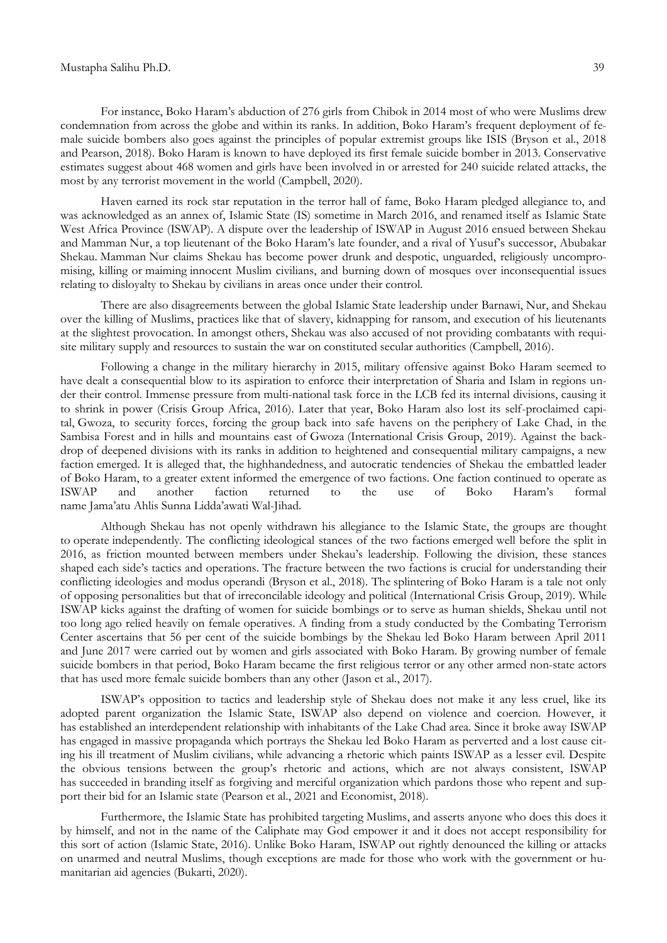For instance, Boko Haram's abduction of 276 girls from Chibok in 2014 most of who were Muslims drew condemnation from across the globe and within its ranks. In addition, Boko Haram's frequent deployment of female suicide bombers also goes against the principles of popular extremist groups like ISIS (Bryson et al., 2018 and Pearson, 2018). Boko Haram is known to have deployed its first female suicide bomber in 2013. Conservative estimates suggest about 468 women and girls have been involved in or arrested for 240 suicide related attacks, the most by any terrorist movement in the world (Campbell, 2020).

Haven earned its rock star reputation in the terror hall of fame, Boko Haram pledged allegiance to, and was acknowledged as an annex of, Islamic State (IS) sometime in March 2016, and renamed itself as Islamic State West Africa Province (ISWAP). A dispute over the leadership of ISWAP in August 2016 ensued between Shekau and Mamman Nur, a top lieutenant of the Boko Haram's late founder, and a rival of Yusuf's successor, Abubakar Shekau. Mamman Nur claims Shekau has become power drunk and despotic, unguarded, religiously uncompromising, killing or maiming innocent Muslim civilians, and burning down of mosques over inconsequential issues relating to disloyalty to Shekau by civilians in areas once under their control.

There are also disagreements between the global Islamic State leadership under Barnawi, Nur, and Shekau over the killing of Muslims, practices like that of slavery, kidnapping for ransom, and execution of his lieutenants at the slightest provocation. In amongst others, Shekau was also accused of not providing combatants with requisite military supply and resources to sustain the war on constituted secular authorities (Campbell, 2016).

Following a change in the military hierarchy in 2015, military offensive against Boko Haram seemed to have dealt a consequential blow to its aspiration to enforce their interpretation of Sharia and Islam in regions under their control. Immense pressure from multi-national task force in the LCB fed its internal divisions, causing it to shrink in power (Crisis Group Africa, 2016). Later that year, Boko Haram also lost its self-proclaimed capital, Gwoza, to security forces, forcing the group back into safe havens on the periphery of Lake Chad, in the Sambisa Forest and in hills and mountains east of Gwoza (International Crisis Group, 2019). Against the backdrop of deepened divisions with its ranks in addition to heightened and consequential military campaigns, a new faction emerged. It is alleged that, the highhandedness, and autocratic tendencies of Shekau the embattled leader of Boko Haram, to a greater extent informed the emergence of two factions. One faction continued to operate as ISWAP and another faction returned to the use of Boko Haram's formal name Jama'atu Ahlis Sunna Lidda'awati Wal-Jihad.

Although Shekau has not openly withdrawn his allegiance to the Islamic State, the groups are thought to operate independently. The conflicting ideological stances of the two factions emerged well before the split in 2016, as friction mounted between members under Shekau's leadership. Following the division, these stances shaped each side's tactics and operations. The fracture between the two factions is crucial for understanding their conflicting ideologies and modus operandi (Bryson et al., 2018). The splintering of Boko Haram is a tale not only of opposing personalities but that of irreconcilable ideology and political (International Crisis Group, 2019). While ISWAP kicks against the drafting of women for suicide bombings or to serve as human shields, Shekau until not too long ago relied heavily on female operatives. A finding from a study conducted by the Combating Terrorism Center ascertains that 56 per cent of the suicide bombings by the Shekau led Boko Haram between April 2011 and June 2017 were carried out by women and girls associated with Boko Haram. By growing number of female suicide bombers in that period, Boko Haram became the first religious terror or any other armed non-state actors that has used more female suicide bombers than any other (Jason et al., 2017).

ISWAP's opposition to tactics and leadership style of Shekau does not make it any less cruel, like its adopted parent organization the Islamic State, ISWAP also depend on violence and coercion. However, it has established an interdependent relationship with inhabitants of the Lake Chad area. Since it broke away ISWAP has engaged in massive propaganda which portrays the Shekau led Boko Haram as perverted and a lost cause citing his ill treatment of Muslim civilians, while advancing a rhetoric which paints ISWAP as a lesser evil. Despite the obvious tensions between the group's rhetoric and actions, which are not always consistent, ISWAP has succeeded in branding itself as forgiving and merciful organization which pardons those who repent and support their bid for an Islamic state (Pearson et al., 2021 and Economist, 2018).

Furthermore, the Islamic State has prohibited targeting Muslims, and asserts anyone who does this does it by himself, and not in the name of the Caliphate may God empower it and it does not accept responsibility for this sort of action (Islamic State, 2016). Unlike Boko Haram, ISWAP out rightly denounced the killing or attacks on unarmed and neutral Muslims, though exceptions are made for those who work with the government or humanitarian aid agencies (Bukarti, 2020).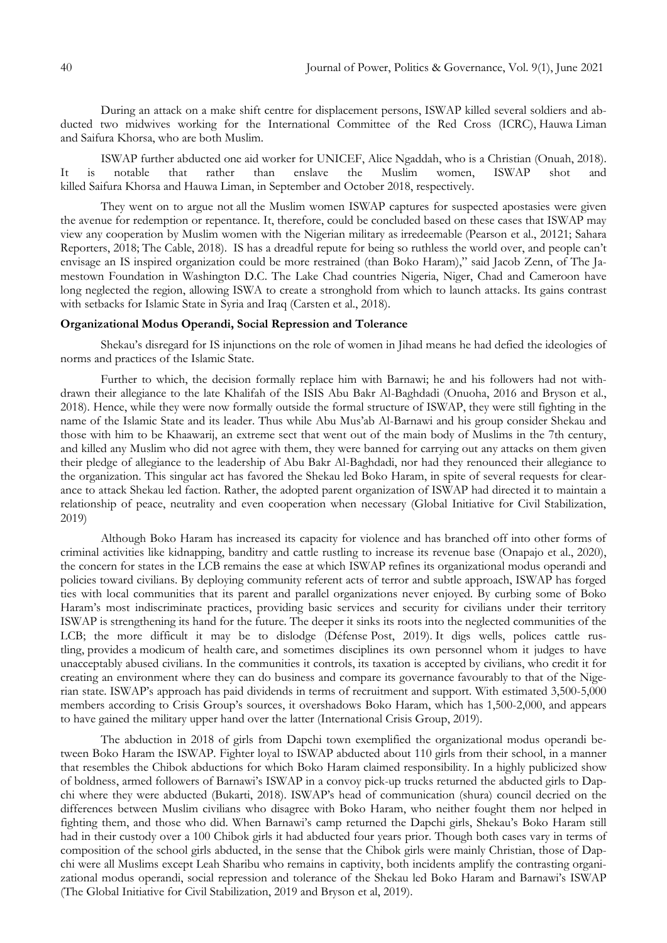During an attack on a make shift centre for displacement persons, ISWAP killed several soldiers and abducted two midwives working for the International Committee of the Red Cross (ICRC), Hauwa Liman and Saifura Khorsa, who are both Muslim.

ISWAP further abducted one aid worker for UNICEF, Alice Ngaddah, who is a Christian (Onuah, 2018). It is notable that rather than enslave the Muslim women, ISWAP shot and killed Saifura Khorsa and Hauwa Liman, in September and October 2018, respectively.

They went on to argue not all the Muslim women ISWAP captures for suspected apostasies were given the avenue for redemption or repentance. It, therefore, could be concluded based on these cases that ISWAP may view any cooperation by Muslim women with the Nigerian military as irredeemable (Pearson et al., 20121; Sahara Reporters, 2018; The Cable, 2018). IS has a dreadful repute for being so ruthless the world over, and people can't envisage an IS inspired organization could be more restrained (than Boko Haram)," said Jacob Zenn, of The Jamestown Foundation in Washington D.C. The Lake Chad countries Nigeria, Niger, Chad and Cameroon have long neglected the region, allowing ISWA to create a stronghold from which to launch attacks. Its gains contrast with setbacks for Islamic State in Syria and Iraq (Carsten et al., 2018).

# **Organizational Modus Operandi, Social Repression and Tolerance**

Shekau's disregard for IS injunctions on the role of women in Jihad means he had defied the ideologies of norms and practices of the Islamic State.

Further to which, the decision formally replace him with Barnawi; he and his followers had not withdrawn their allegiance to the late Khalifah of the ISIS Abu Bakr Al-Baghdadi (Onuoha, 2016 and Bryson et al., 2018). Hence, while they were now formally outside the formal structure of ISWAP, they were still fighting in the name of the Islamic State and its leader. Thus while Abu Mus'ab Al-Barnawi and his group consider Shekau and those with him to be Khaawarij, an extreme sect that went out of the main body of Muslims in the 7th century, and killed any Muslim who did not agree with them, they were banned for carrying out any attacks on them given their pledge of allegiance to the leadership of Abu Bakr Al-Baghdadi, nor had they renounced their allegiance to the organization. This singular act has favored the Shekau led Boko Haram, in spite of several requests for clearance to attack Shekau led faction. Rather, the adopted parent organization of ISWAP had directed it to maintain a relationship of peace, neutrality and even cooperation when necessary (Global Initiative for Civil Stabilization, 2019)

Although Boko Haram has increased its capacity for violence and has branched off into other forms of criminal activities like kidnapping, banditry and cattle rustling to increase its revenue base (Onapajo et al., 2020), the concern for states in the LCB remains the ease at which ISWAP refines its organizational modus operandi and policies toward civilians. By deploying community referent acts of terror and subtle approach, ISWAP has forged ties with local communities that its parent and parallel organizations never enjoyed. By curbing some of Boko Haram's most indiscriminate practices, providing basic services and security for civilians under their territory ISWAP is strengthening its hand for the future. The deeper it sinks its roots into the neglected communities of the LCB; the more difficult it may be to dislodge (Défense Post, 2019). It digs wells, polices cattle rustling, provides a modicum of health care, and sometimes disciplines its own personnel whom it judges to have unacceptably abused civilians. In the communities it controls, its taxation is accepted by civilians, who credit it for creating an environment where they can do business and compare its governance favourably to that of the Nigerian state. ISWAP's approach has paid dividends in terms of recruitment and support. With estimated 3,500-5,000 members according to Crisis Group's sources, it overshadows Boko Haram, which has 1,500-2,000, and appears to have gained the military upper hand over the latter (International Crisis Group, 2019).

The abduction in 2018 of girls from Dapchi town exemplified the organizational modus operandi between Boko Haram the ISWAP. Fighter loyal to ISWAP abducted about 110 girls from their school, in a manner that resembles the Chibok abductions for which Boko Haram claimed responsibility. In a highly publicized show of boldness, armed followers of Barnawi's ISWAP in a convoy pick-up trucks returned the abducted girls to Dapchi where they were abducted (Bukarti, 2018). ISWAP's head of communication (shura) council decried on the differences between Muslim civilians who disagree with Boko Haram, who neither fought them nor helped in fighting them, and those who did. When Barnawi's camp returned the Dapchi girls, Shekau's Boko Haram still had in their custody over a 100 Chibok girls it had abducted four years prior. Though both cases vary in terms of composition of the school girls abducted, in the sense that the Chibok girls were mainly Christian, those of Dapchi were all Muslims except Leah Sharibu who remains in captivity, both incidents amplify the contrasting organizational modus operandi, social repression and tolerance of the Shekau led Boko Haram and Barnawi's ISWAP (The Global Initiative for Civil Stabilization, 2019 and Bryson et al, 2019).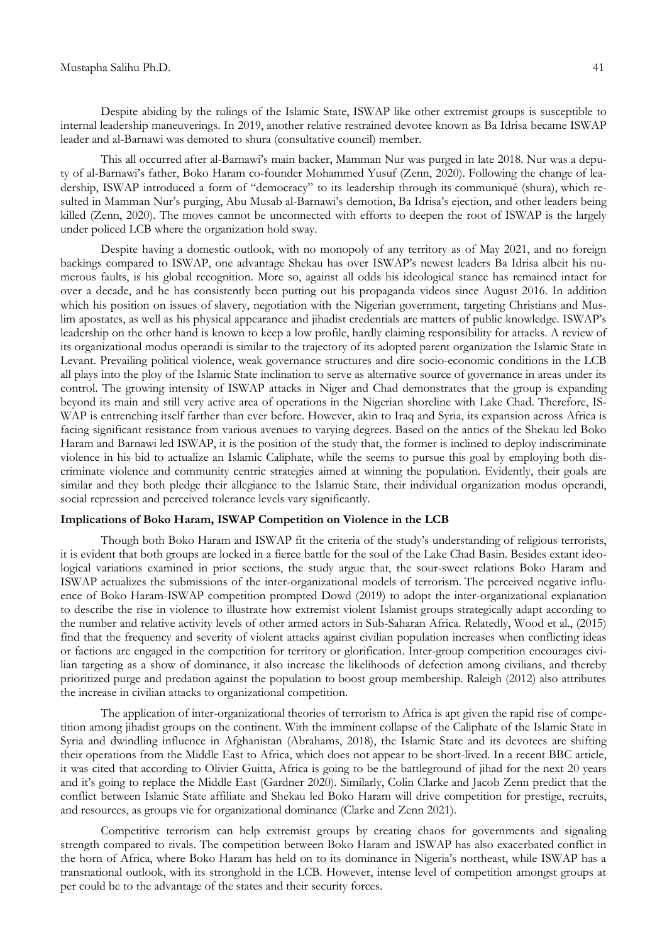Despite abiding by the rulings of the Islamic State, ISWAP like other extremist groups is susceptible to internal leadership maneuverings. In 2019, another relative restrained devotee known as Ba Idrisa became ISWAP leader and al-Barnawi was demoted to shura (consultative council) member.

This all occurred after al-Barnawi's main backer, Mamman Nur was purged in late 2018. Nur was a deputy of al-Barnawi's father, Boko Haram co-founder Mohammed Yusuf (Zenn, 2020). Following the change of leadership, ISWAP introduced a form of "democracy" to its leadership through its communiqué (shura), which resulted in Mamman Nur's purging, Abu Musab al-Barnawi's demotion, Ba Idrisa's ejection, and other leaders being killed (Zenn, 2020). The moves cannot be unconnected with efforts to deepen the root of ISWAP is the largely under policed LCB where the organization hold sway.

Despite having a domestic outlook, with no monopoly of any territory as of May 2021, and no foreign backings compared to ISWAP, one advantage Shekau has over ISWAP's newest leaders Ba Idrisa albeit his numerous faults, is his global recognition. More so, against all odds his ideological stance has remained intact for over a decade, and he has consistently been putting out his propaganda videos since August 2016. In addition which his position on issues of slavery, negotiation with the Nigerian government, targeting Christians and Muslim apostates, as well as his physical appearance and jihadist credentials are matters of public knowledge. ISWAP's leadership on the other hand is known to keep a low profile, hardly claiming responsibility for attacks. A review of its organizational modus operandi is similar to the trajectory of its adopted parent organization the Islamic State in Levant. Prevailing political violence, weak governance structures and dire socio-economic conditions in the LCB all plays into the ploy of the Islamic State inclination to serve as alternative source of governance in areas under its control. The growing intensity of ISWAP attacks in Niger and Chad demonstrates that the group is expanding beyond its main and still very active area of operations in the Nigerian shoreline with Lake Chad. Therefore, IS-WAP is entrenching itself farther than ever before. However, akin to Iraq and Syria, its expansion across Africa is facing significant resistance from various avenues to varying degrees. Based on the antics of the Shekau led Boko Haram and Barnawi led ISWAP, it is the position of the study that, the former is inclined to deploy indiscriminate violence in his bid to actualize an Islamic Caliphate, while the seems to pursue this goal by employing both discriminate violence and community centric strategies aimed at winning the population. Evidently, their goals are similar and they both pledge their allegiance to the Islamic State, their individual organization modus operandi, social repression and perceived tolerance levels vary significantly.

#### **Implications of Boko Haram, ISWAP Competition on Violence in the LCB**

Though both Boko Haram and ISWAP fit the criteria of the study's understanding of religious terrorists, it is evident that both groups are locked in a fierce battle for the soul of the Lake Chad Basin. Besides extant ideological variations examined in prior sections, the study argue that, the sour-sweet relations Boko Haram and ISWAP actualizes the submissions of the inter-organizational models of terrorism. The perceived negative influence of Boko Haram-ISWAP competition prompted Dowd (2019) to adopt the inter-organizational explanation to describe the rise in violence to illustrate how extremist violent Islamist groups strategically adapt according to the number and relative activity levels of other armed actors in Sub-Saharan Africa. Relatedly, Wood et al., (2015) find that the frequency and severity of violent attacks against civilian population increases when conflicting ideas or factions are engaged in the competition for territory or glorification. Inter-group competition encourages civilian targeting as a show of dominance, it also increase the likelihoods of defection among civilians, and thereby prioritized purge and predation against the population to boost group membership. Raleigh (2012) also attributes the increase in civilian attacks to organizational competition.

The application of inter-organizational theories of terrorism to Africa is apt given the rapid rise of competition among jihadist groups on the continent. With the imminent collapse of the Caliphate of the Islamic State in Syria and dwindling influence in Afghanistan (Abrahams, 2018), the Islamic State and its devotees are shifting their operations from the Middle East to Africa, which does not appear to be short-lived. In a recent BBC article, it was cited that according to Olivier Guitta, Africa is going to be the battleground of jihad for the next 20 years and it's going to replace the Middle East (Gardner 2020). Similarly, Colin Clarke and Jacob Zenn predict that the conflict between Islamic State affiliate and Shekau led Boko Haram will drive competition for prestige, recruits, and resources, as groups vie for organizational dominance (Clarke and Zenn 2021).

Competitive terrorism can help extremist groups by creating chaos for governments and signaling strength compared to rivals. The competition between Boko Haram and ISWAP has also exacerbated conflict in the horn of Africa, where Boko Haram has held on to its dominance in Nigeria's northeast, while ISWAP has a transnational outlook, with its stronghold in the LCB. However, intense level of competition amongst groups at per could be to the advantage of the states and their security forces.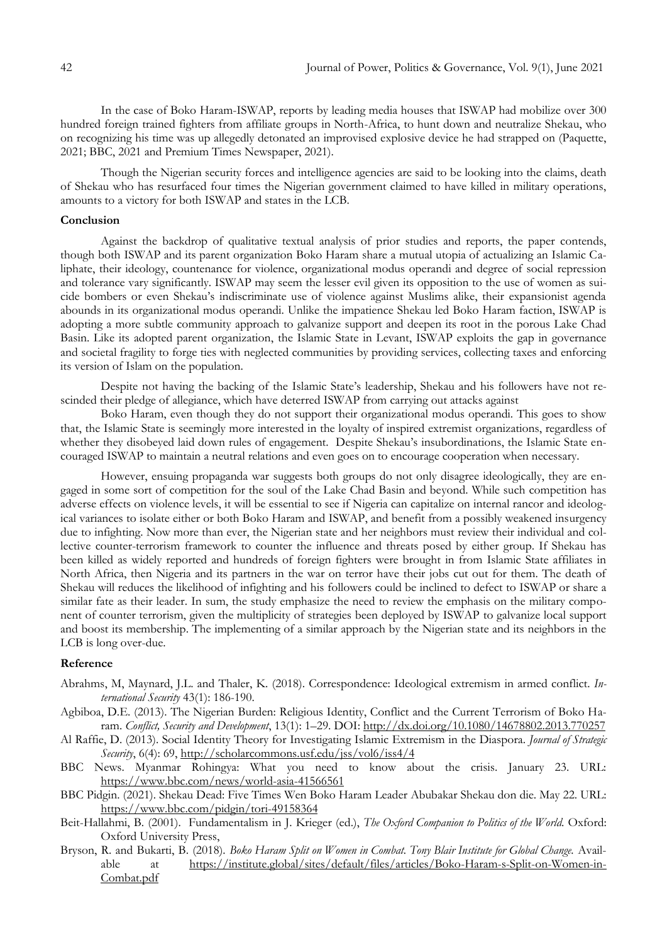In the case of Boko Haram-ISWAP, reports by leading media houses that ISWAP had mobilize over 300 hundred foreign trained fighters from affiliate groups in North-Africa, to hunt down and neutralize Shekau, who on recognizing his time was up allegedly detonated an improvised explosive device he had strapped on (Paquette, 2021; BBC, 2021 and Premium Times Newspaper, 2021).

Though the Nigerian security forces and intelligence agencies are said to be looking into the claims, death of Shekau who has resurfaced four times the Nigerian government claimed to have killed in military operations, amounts to a victory for both ISWAP and states in the LCB.

# **Conclusion**

Against the backdrop of qualitative textual analysis of prior studies and reports, the paper contends, though both ISWAP and its parent organization Boko Haram share a mutual utopia of actualizing an Islamic Caliphate, their ideology, countenance for violence, organizational modus operandi and degree of social repression and tolerance vary significantly. ISWAP may seem the lesser evil given its opposition to the use of women as suicide bombers or even Shekau's indiscriminate use of violence against Muslims alike, their expansionist agenda abounds in its organizational modus operandi. Unlike the impatience Shekau led Boko Haram faction, ISWAP is adopting a more subtle community approach to galvanize support and deepen its root in the porous Lake Chad Basin. Like its adopted parent organization, the Islamic State in Levant, ISWAP exploits the gap in governance and societal fragility to forge ties with neglected communities by providing services, collecting taxes and enforcing its version of Islam on the population.

Despite not having the backing of the Islamic State's leadership, Shekau and his followers have not rescinded their pledge of allegiance, which have deterred ISWAP from carrying out attacks against

Boko Haram, even though they do not support their organizational modus operandi. This goes to show that, the Islamic State is seemingly more interested in the loyalty of inspired extremist organizations, regardless of whether they disobeyed laid down rules of engagement. Despite Shekau's insubordinations, the Islamic State encouraged ISWAP to maintain a neutral relations and even goes on to encourage cooperation when necessary.

However, ensuing propaganda war suggests both groups do not only disagree ideologically, they are engaged in some sort of competition for the soul of the Lake Chad Basin and beyond. While such competition has adverse effects on violence levels, it will be essential to see if Nigeria can capitalize on internal rancor and ideological variances to isolate either or both Boko Haram and ISWAP, and benefit from a possibly weakened insurgency due to infighting. Now more than ever, the Nigerian state and her neighbors must review their individual and collective counter-terrorism framework to counter the influence and threats posed by either group. If Shekau has been killed as widely reported and hundreds of foreign fighters were brought in from Islamic State affiliates in North Africa, then Nigeria and its partners in the war on terror have their jobs cut out for them. The death of Shekau will reduces the likelihood of infighting and his followers could be inclined to defect to ISWAP or share a similar fate as their leader. In sum, the study emphasize the need to review the emphasis on the military component of counter terrorism, given the multiplicity of strategies been deployed by ISWAP to galvanize local support and boost its membership. The implementing of a similar approach by the Nigerian state and its neighbors in the LCB is long over-due.

## **Reference**

- Abrahms, M, Maynard, J.L. and Thaler, K. (2018). Correspondence: Ideological extremism in armed conflict. *International Security* 43(1): 186-190.
- Agbiboa, D.E. (2013). The Nigerian Burden: Religious Identity, Conflict and the Current Terrorism of Boko Haram. *Conflict, Security and Development*, 13(1): 1–29. DOI:<http://dx.doi.org/10.1080/14678802.2013.770257>
- Al Raffie, D. (2013). Social Identity Theory for Investigating Islamic Extremism in the Diaspora. *Journal of Strategic Security*, 6(4): 69, <http://scholarcommons.usf.edu/jss/vol6/iss4/4>
- BBC News. Myanmar Rohingya: What you need to know about the crisis. January 23. URL: <https://www.bbc.com/news/world-asia-41566561>
- BBC Pidgin. (2021). Shekau Dead: Five Times Wen Boko Haram Leader Abubakar Shekau don die. May 22. URL: <https://www.bbc.com/pidgin/tori-49158364>
- Beit-Hallahmi, B. (2001). Fundamentalism in J. Krieger (ed.), *The Oxford Companion to Politics of the World*. Oxford: Oxford University Press,
- Bryson, R. and Bukarti, B. (2018). *Boko Haram Split on Women in Combat. Tony Blair Institute for Global Change.* Available at [https://institute.global/sites/default/files/articles/Boko-Haram-s-Split-on-Women-in-](https://institute.global/sites/default/files/articles/Boko-Haram-s-Split-on-Women-in-Combat.pdf)[Combat.pdf](https://institute.global/sites/default/files/articles/Boko-Haram-s-Split-on-Women-in-Combat.pdf)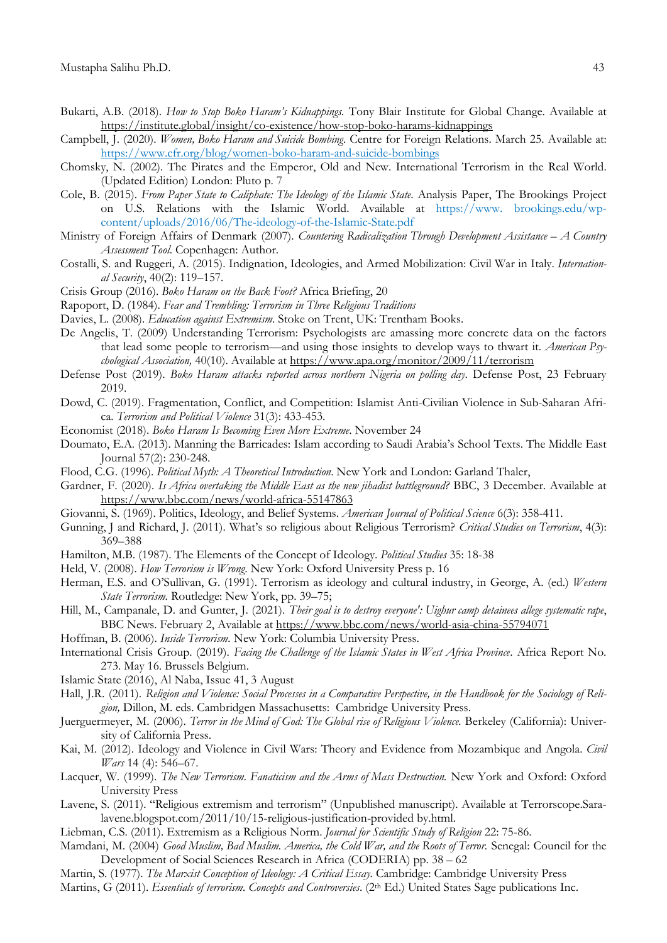- Bukarti, A.B. (2018). *How to Stop Boko Haram's Kidnappings.* Tony Blair Institute for Global Change. Available at <https://institute.global/insight/co-existence/how-stop-boko-harams-kidnappings>
- Campbell, J. (2020). *Women, Boko Haram and Suicide Bombing*. Centre for Foreign Relations. March 25. Available at: <https://www.cfr.org/blog/women-boko-haram-and-suicide-bombings>
- Chomsky, N. (2002). The Pirates and the Emperor, Old and New. International Terrorism in the Real World. (Updated Edition) London: Pluto p. 7
- Cole, B. (2015). *From Paper State to Caliphate: The Ideology of the Islamic State*. Analysis Paper, The Brookings Project on U.S. Relations with the Islamic World. Available at https://www. brookings.edu/wpcontent/uploads/2016/06/The-ideology-of-the-Islamic-State.pdf
- Ministry of Foreign Affairs of Denmark (2007). *Countering Radicalization Through Development Assistance – A Country Assessment Tool*. Copenhagen: Author.
- Costalli, S. and Ruggeri, A. (2015). Indignation, Ideologies, and Armed Mobilization: Civil War in Italy. *International Security*, 40(2): 119–157.
- Crisis Group (2016). *Boko Haram on the Back Foot?* Africa Briefing, 20
- Rapoport, D. (1984). *Fear and Trembling: Terrorism in Three Religious Traditions*
- Davies, L. (2008). *Education against Extremism*. Stoke on Trent, UK: Trentham Books.
- De Angelis, T. (2009) Understanding Terrorism: Psychologists are amassing more concrete data on the factors that lead some people to terrorism—and using those insights to develop ways to thwart it. *American Psychological Association,* 40(10). Available at <https://www.apa.org/monitor/2009/11/terrorism>
- Defense Post (2019). *Boko Haram attacks reported across northern Nigeria on polling day*. Defense Post, 23 February 2019.
- Dowd, C. (2019). Fragmentation, Conflict, and Competition: Islamist Anti-Civilian Violence in Sub-Saharan Africa. *Terrorism and Political Violence* 31(3): 433-453.
- Economist (2018). *Boko Haram Is Becoming Even More Extreme*. November 24
- Doumato, E.A. (2013). Manning the Barricades: Islam according to Saudi Arabia's School Texts. The Middle East Journal 57(2): 230-248.
- Flood, C.G. (1996). *Political Myth: A Theoretical Introduction*. New York and London: Garland Thaler,
- Gardner, F. (2020). *Is Africa overtaking the Middle East as the new jihadist battleground?* BBC, 3 December. Available at <https://www.bbc.com/news/world-africa-55147863>
- Giovanni, S. (1969). Politics, Ideology, and Belief Systems. *American Journal of Political Science* 6(3): 358-411.
- Gunning, J and Richard, J. (2011). What's so religious about Religious Terrorism? *Critical Studies on Terrorism*, 4(3): 369–388
- Hamilton, M.B. (1987). The Elements of the Concept of Ideology. *Political Studies* 35: 18-38
- Held, V. (2008). *How Terrorism is Wrong*. New York: Oxford University Press p. 16
- Herman, E.S. and O'Sullivan, G. (1991). Terrorism as ideology and cultural industry, in George, A. (ed.) *Western State Terrorism.* Routledge: New York, pp. 39–75;
- Hill, M., Campanale, D. and Gunter, J. (2021). *Their goal is to destroy everyone': Uighur camp detainees allege systematic rape*, BBC News. February 2, Available at<https://www.bbc.com/news/world-asia-china-55794071>
- Hoffman, B. (2006). *Inside Terrorism.* New York: Columbia University Press.
- International Crisis Group. (2019). *Facing the Challenge of the Islamic States in West Africa Province*. Africa Report No. 273. May 16. Brussels Belgium.
- Islamic State (2016), Al Naba, Issue 41, 3 August
- Hall, J.R. (2011). Religion and Violence: Social Processes in a Comparative Perspective, in the Handbook for the Sociology of Reli*gion,* Dillon, M. eds. Cambridgen Massachusetts: Cambridge University Press.
- Juerguermeyer, M. (2006). *Terror in the Mind of God: The Global rise of Religious Violence.* Berkeley (California): University of California Press.
- Kai, M. (2012). Ideology and Violence in Civil Wars: Theory and Evidence from Mozambique and Angola. *Civil Wars* 14 (4): 546–67.
- Lacquer, W. (1999). *The New Terrorism. Fanaticism and the Arms of Mass Destruction.* New York and Oxford: Oxford University Press
- Lavene, S. (2011). "Religious extremism and terrorism" (Unpublished manuscript). Available at Terrorscope.Saralavene.blogspot.com/2011/10/15-religious-justification-provided by.html.
- Liebman, C.S. (2011). Extremism as a Religious Norm. *Journal for Scientific Study of Religion* 22: 75-86.
- Mamdani, M. (2004) *Good Muslim, Bad Muslim. America, the Cold War, and the Roots of Terror.* Senegal: Council for the Development of Social Sciences Research in Africa (CODERIA) pp. 38 – 62
- Martin, S. (1977). *The Marxist Conception of Ideology: A Critical Essay.* Cambridge: Cambridge University Press
- Martins, G (2011). *Essentials of terrorism. Concepts and Controversies*. (2th Ed.) United States Sage publications Inc.